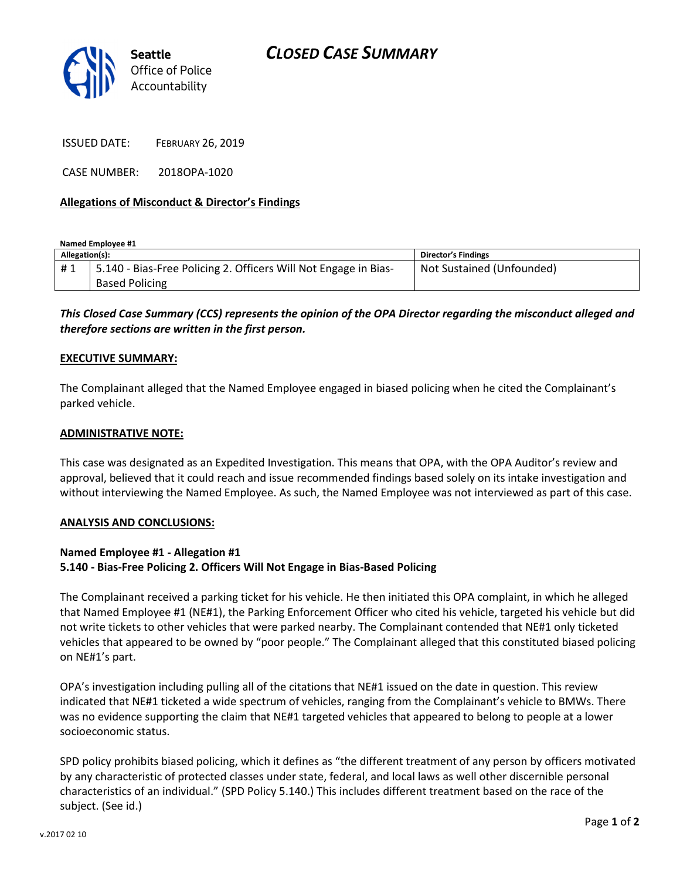

ISSUED DATE: FEBRUARY 26, 2019

CASE NUMBER: 2018OPA-1020

## Allegations of Misconduct & Director's Findings

Named Employee #1

| Allegation(s): |                                                                 | <b>Director's Findings</b> |
|----------------|-----------------------------------------------------------------|----------------------------|
| #1             | 5.140 - Bias-Free Policing 2. Officers Will Not Engage in Bias- | Not Sustained (Unfounded)  |
|                | <b>Based Policing</b>                                           |                            |

# This Closed Case Summary (CCS) represents the opinion of the OPA Director regarding the misconduct alleged and therefore sections are written in the first person.

#### EXECUTIVE SUMMARY:

The Complainant alleged that the Named Employee engaged in biased policing when he cited the Complainant's parked vehicle.

### ADMINISTRATIVE NOTE:

This case was designated as an Expedited Investigation. This means that OPA, with the OPA Auditor's review and approval, believed that it could reach and issue recommended findings based solely on its intake investigation and without interviewing the Named Employee. As such, the Named Employee was not interviewed as part of this case.

#### ANALYSIS AND CONCLUSIONS:

## Named Employee #1 - Allegation #1 5.140 - Bias-Free Policing 2. Officers Will Not Engage in Bias-Based Policing

The Complainant received a parking ticket for his vehicle. He then initiated this OPA complaint, in which he alleged that Named Employee #1 (NE#1), the Parking Enforcement Officer who cited his vehicle, targeted his vehicle but did not write tickets to other vehicles that were parked nearby. The Complainant contended that NE#1 only ticketed vehicles that appeared to be owned by "poor people." The Complainant alleged that this constituted biased policing on NE#1's part.

OPA's investigation including pulling all of the citations that NE#1 issued on the date in question. This review indicated that NE#1 ticketed a wide spectrum of vehicles, ranging from the Complainant's vehicle to BMWs. There was no evidence supporting the claim that NE#1 targeted vehicles that appeared to belong to people at a lower socioeconomic status.

SPD policy prohibits biased policing, which it defines as "the different treatment of any person by officers motivated by any characteristic of protected classes under state, federal, and local laws as well other discernible personal characteristics of an individual." (SPD Policy 5.140.) This includes different treatment based on the race of the subject. (See id.)